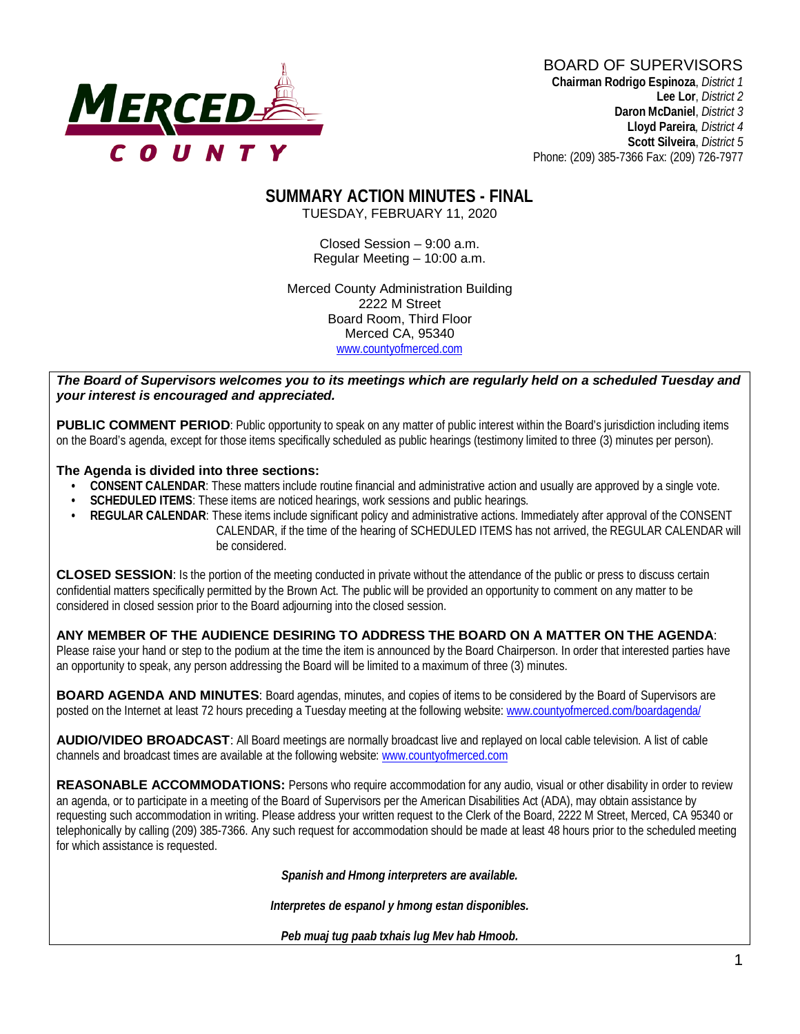# **MERCED-**

#### BOARD OF SUPERVISORS **Chairman Rodrigo Espinoza**, *District 1*

**Lee Lor**, *District 2*  **Daron McDaniel**, *District 3* **Lloyd Pareira***, District 4*  **Scott Silveira**, *District 5* Phone: (209) 385-7366 Fax: (209) 726-7977

#### **SUMMARY ACTION MINUTES - FINAL** TUESDAY, FEBRUARY 11, 2020

Closed Session – 9:00 a.m. Regular Meeting – 10:00 a.m.

Merced County Administration Building 2222 M Street Board Room, Third Floor Merced CA, 95340 www.countyofmerced.com

#### *The Board of Supervisors welcomes you to its meetings which are regularly held on a scheduled Tuesday and your interest is encouraged and appreciated.*

**PUBLIC COMMENT PERIOD:** Public opportunity to speak on any matter of public interest within the Board's jurisdiction including items on the Board's agenda, except for those items specifically scheduled as public hearings (testimony limited to three (3) minutes per person).

#### **The Agenda is divided into three sections:**

- **CONSENT CALENDAR**: These matters include routine financial and administrative action and usually are approved by a single vote.
- **SCHEDULED ITEMS:** These items are noticed hearings, work sessions and public hearings.
- **REGULAR CALENDAR**: These items include significant policy and administrative actions. Immediately after approval of the CONSENT CALENDAR, if the time of the hearing of SCHEDULED ITEMS has not arrived, the REGULAR CALENDAR will be considered.

**CLOSED SESSION**: Is the portion of the meeting conducted in private without the attendance of the public or press to discuss certain confidential matters specifically permitted by the Brown Act. The public will be provided an opportunity to comment on any matter to be considered in closed session prior to the Board adjourning into the closed session.

#### **ANY MEMBER OF THE AUDIENCE DESIRING TO ADDRESS THE BOARD ON A MATTER ON THE AGENDA**:

Please raise your hand or step to the podium at the time the item is announced by the Board Chairperson. In order that interested parties have an opportunity to speak, any person addressing the Board will be limited to a maximum of three (3) minutes.

**BOARD AGENDA AND MINUTES:** Board agendas, minutes, and copies of items to be considered by the Board of Supervisors are posted on the Internet at least 72 hours preceding a Tuesday meeting at the following website: [www.countyofmerced.com/boardagenda/](http://www.countyofmerced.com/boardagenda/) 

**AUDIO/VIDEO BROADCAST**: All Board meetings are normally broadcast live and replayed on local cable television. A list of cable channels and broadcast times are available at the following website[: www.countyofmerced.com](http://www.countyofmerced.com/)

**REASONABLE ACCOMMODATIONS:** Persons who require accommodation for any audio, visual or other disability in order to review an agenda, or to participate in a meeting of the Board of Supervisors per the American Disabilities Act (ADA), may obtain assistance by requesting such accommodation in writing. Please address your written request to the Clerk of the Board, 2222 M Street, Merced, CA 95340 or telephonically by calling (209) 385-7366. Any such request for accommodation should be made at least 48 hours prior to the scheduled meeting for which assistance is requested.

*Spanish and Hmong interpreters are available.*

*Interpretes de espanol y hmong estan disponibles.*

*Peb muaj tug paab txhais lug Mev hab Hmoob.*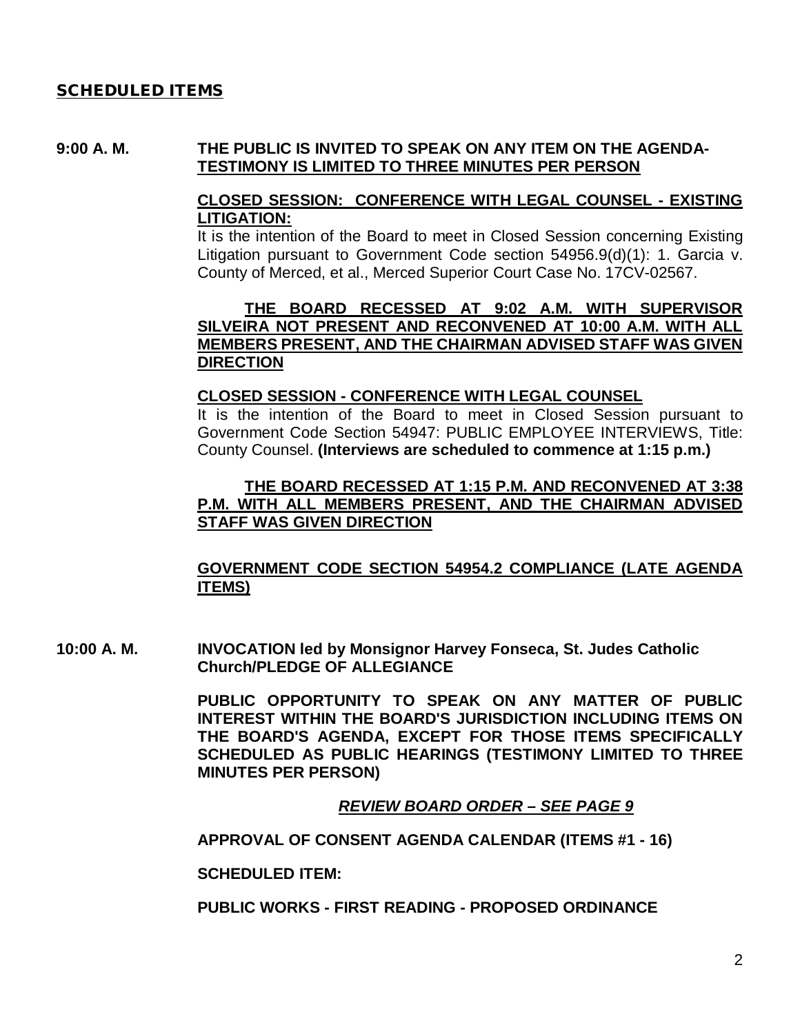## SCHEDULED ITEMS

## **9:00 A. M. THE PUBLIC IS INVITED TO SPEAK ON ANY ITEM ON THE AGENDA-TESTIMONY IS LIMITED TO THREE MINUTES PER PERSON**

## **CLOSED SESSION: CONFERENCE WITH LEGAL COUNSEL - EXISTING LITIGATION:**

It is the intention of the Board to meet in Closed Session concerning Existing Litigation pursuant to Government Code section 54956.9(d)(1): 1. Garcia v. County of Merced, et al., Merced Superior Court Case No. 17CV-02567.

## **THE BOARD RECESSED AT 9:02 A.M. WITH SUPERVISOR SILVEIRA NOT PRESENT AND RECONVENED AT 10:00 A.M. WITH ALL MEMBERS PRESENT, AND THE CHAIRMAN ADVISED STAFF WAS GIVEN DIRECTION**

## **CLOSED SESSION - CONFERENCE WITH LEGAL COUNSEL**

It is the intention of the Board to meet in Closed Session pursuant to Government Code Section 54947: PUBLIC EMPLOYEE INTERVIEWS, Title: County Counsel. **(Interviews are scheduled to commence at 1:15 p.m.)** 

## **THE BOARD RECESSED AT 1:15 P.M. AND RECONVENED AT 3:38 P.M. WITH ALL MEMBERS PRESENT, AND THE CHAIRMAN ADVISED STAFF WAS GIVEN DIRECTION**

## **GOVERNMENT CODE SECTION 54954.2 COMPLIANCE (LATE AGENDA ITEMS)**

**10:00 A. M. INVOCATION led by Monsignor Harvey Fonseca, St. Judes Catholic Church/PLEDGE OF ALLEGIANCE**

> **PUBLIC OPPORTUNITY TO SPEAK ON ANY MATTER OF PUBLIC INTEREST WITHIN THE BOARD'S JURISDICTION INCLUDING ITEMS ON THE BOARD'S AGENDA, EXCEPT FOR THOSE ITEMS SPECIFICALLY SCHEDULED AS PUBLIC HEARINGS (TESTIMONY LIMITED TO THREE MINUTES PER PERSON)**

> > *REVIEW BOARD ORDER – SEE PAGE 9*

**APPROVAL OF CONSENT AGENDA CALENDAR (ITEMS #1 - 16)**

**SCHEDULED ITEM:**

**PUBLIC WORKS - FIRST READING - PROPOSED ORDINANCE**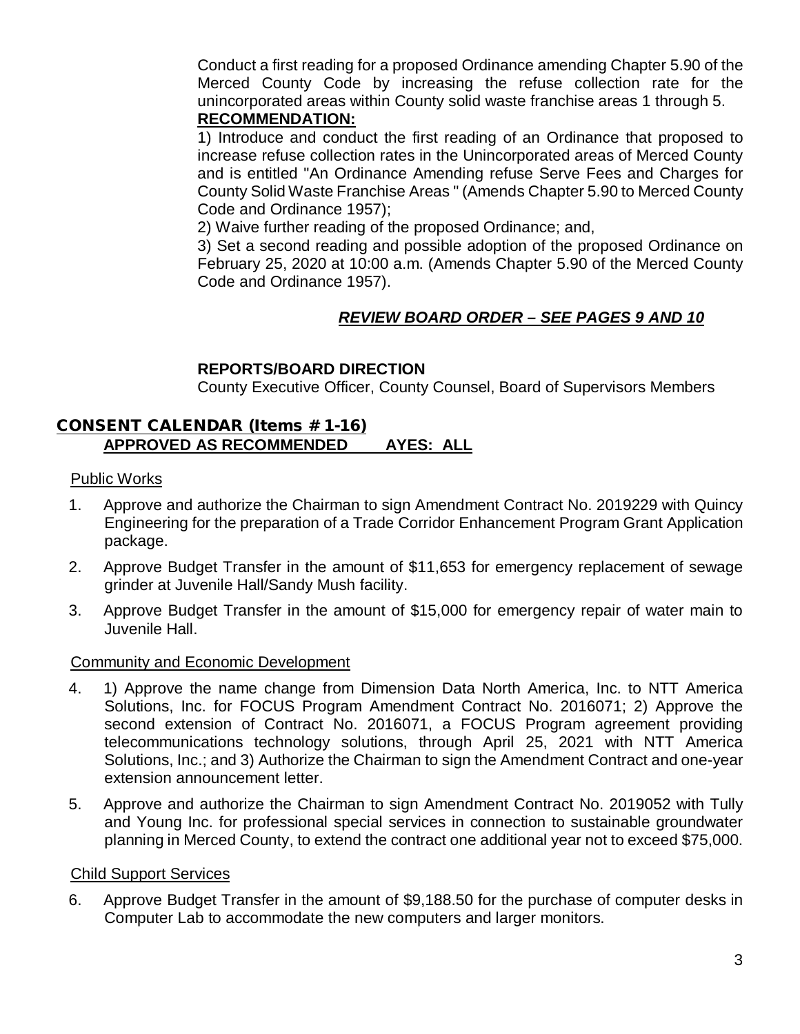Conduct a first reading for a proposed Ordinance amending Chapter 5.90 of the Merced County Code by increasing the refuse collection rate for the unincorporated areas within County solid waste franchise areas 1 through 5. **RECOMMENDATION:**

1) Introduce and conduct the first reading of an Ordinance that proposed to increase refuse collection rates in the Unincorporated areas of Merced County and is entitled "An Ordinance Amending refuse Serve Fees and Charges for County Solid Waste Franchise Areas " (Amends Chapter 5.90 to Merced County Code and Ordinance 1957);

2) Waive further reading of the proposed Ordinance; and,

3) Set a second reading and possible adoption of the proposed Ordinance on February 25, 2020 at 10:00 a.m. (Amends Chapter 5.90 of the Merced County Code and Ordinance 1957).

# *REVIEW BOARD ORDER – SEE PAGES 9 AND 10*

# **REPORTS/BOARD DIRECTION**

County Executive Officer, County Counsel, Board of Supervisors Members

## CONSENT CALENDAR (Items # 1-16) **APPROVED AS RECOMMENDED AYES: ALL**

## Public Works

- 1. Approve and authorize the Chairman to sign Amendment Contract No. 2019229 with Quincy Engineering for the preparation of a Trade Corridor Enhancement Program Grant Application package.
- 2. Approve Budget Transfer in the amount of \$11,653 for emergency replacement of sewage grinder at Juvenile Hall/Sandy Mush facility.
- 3. Approve Budget Transfer in the amount of \$15,000 for emergency repair of water main to Juvenile Hall.

# Community and Economic Development

- 4. 1) Approve the name change from Dimension Data North America, Inc. to NTT America Solutions, Inc. for FOCUS Program Amendment Contract No. 2016071; 2) Approve the second extension of Contract No. 2016071, a FOCUS Program agreement providing telecommunications technology solutions, through April 25, 2021 with NTT America Solutions, Inc.; and 3) Authorize the Chairman to sign the Amendment Contract and one-year extension announcement letter.
- 5. Approve and authorize the Chairman to sign Amendment Contract No. 2019052 with Tully and Young Inc. for professional special services in connection to sustainable groundwater planning in Merced County, to extend the contract one additional year not to exceed \$75,000.

## Child Support Services

6. Approve Budget Transfer in the amount of \$9,188.50 for the purchase of computer desks in Computer Lab to accommodate the new computers and larger monitors.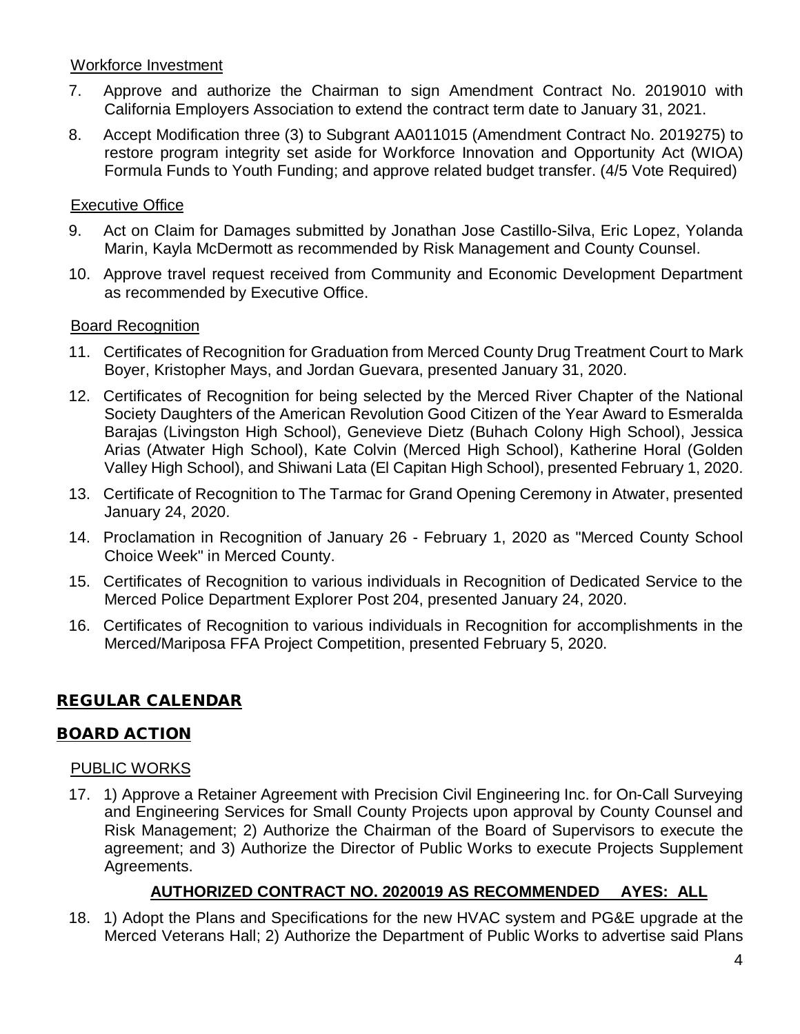## Workforce Investment

- 7. Approve and authorize the Chairman to sign Amendment Contract No. 2019010 with California Employers Association to extend the contract term date to January 31, 2021.
- 8. Accept Modification three (3) to Subgrant AA011015 (Amendment Contract No. 2019275) to restore program integrity set aside for Workforce Innovation and Opportunity Act (WIOA) Formula Funds to Youth Funding; and approve related budget transfer. (4/5 Vote Required)

## Executive Office

- 9. Act on Claim for Damages submitted by Jonathan Jose Castillo-Silva, Eric Lopez, Yolanda Marin, Kayla McDermott as recommended by Risk Management and County Counsel.
- 10. Approve travel request received from Community and Economic Development Department as recommended by Executive Office.

## **Board Recognition**

- 11. Certificates of Recognition for Graduation from Merced County Drug Treatment Court to Mark Boyer, Kristopher Mays, and Jordan Guevara, presented January 31, 2020.
- 12. Certificates of Recognition for being selected by the Merced River Chapter of the National Society Daughters of the American Revolution Good Citizen of the Year Award to Esmeralda Barajas (Livingston High School), Genevieve Dietz (Buhach Colony High School), Jessica Arias (Atwater High School), Kate Colvin (Merced High School), Katherine Horal (Golden Valley High School), and Shiwani Lata (El Capitan High School), presented February 1, 2020.
- 13. Certificate of Recognition to The Tarmac for Grand Opening Ceremony in Atwater, presented January 24, 2020.
- 14. Proclamation in Recognition of January 26 February 1, 2020 as "Merced County School Choice Week" in Merced County.
- 15. Certificates of Recognition to various individuals in Recognition of Dedicated Service to the Merced Police Department Explorer Post 204, presented January 24, 2020.
- 16. Certificates of Recognition to various individuals in Recognition for accomplishments in the Merced/Mariposa FFA Project Competition, presented February 5, 2020.

# REGULAR CALENDAR

## BOARD ACTION

## PUBLIC WORKS

17. 1) Approve a Retainer Agreement with Precision Civil Engineering Inc. for On-Call Surveying and Engineering Services for Small County Projects upon approval by County Counsel and Risk Management; 2) Authorize the Chairman of the Board of Supervisors to execute the agreement; and 3) Authorize the Director of Public Works to execute Projects Supplement Agreements.

# **AUTHORIZED CONTRACT NO. 2020019 AS RECOMMENDED AYES: ALL**

18. 1) Adopt the Plans and Specifications for the new HVAC system and PG&E upgrade at the Merced Veterans Hall; 2) Authorize the Department of Public Works to advertise said Plans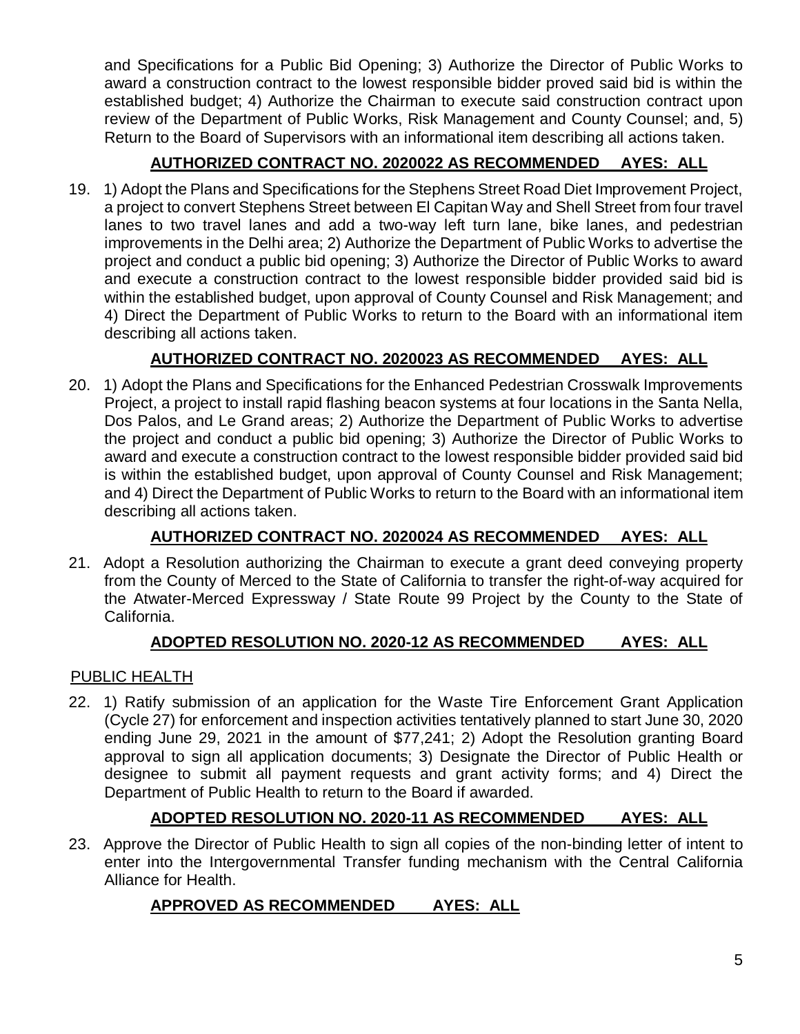and Specifications for a Public Bid Opening; 3) Authorize the Director of Public Works to award a construction contract to the lowest responsible bidder proved said bid is within the established budget; 4) Authorize the Chairman to execute said construction contract upon review of the Department of Public Works, Risk Management and County Counsel; and, 5) Return to the Board of Supervisors with an informational item describing all actions taken.

# **AUTHORIZED CONTRACT NO. 2020022 AS RECOMMENDED AYES: ALL**

19. 1) Adopt the Plans and Specifications for the Stephens Street Road Diet Improvement Project, a project to convert Stephens Street between El Capitan Way and Shell Street from four travel lanes to two travel lanes and add a two-way left turn lane, bike lanes, and pedestrian improvements in the Delhi area; 2) Authorize the Department of Public Works to advertise the project and conduct a public bid opening; 3) Authorize the Director of Public Works to award and execute a construction contract to the lowest responsible bidder provided said bid is within the established budget, upon approval of County Counsel and Risk Management; and 4) Direct the Department of Public Works to return to the Board with an informational item describing all actions taken.

# **AUTHORIZED CONTRACT NO. 2020023 AS RECOMMENDED AYES: ALL**

20. 1) Adopt the Plans and Specifications for the Enhanced Pedestrian Crosswalk Improvements Project, a project to install rapid flashing beacon systems at four locations in the Santa Nella, Dos Palos, and Le Grand areas; 2) Authorize the Department of Public Works to advertise the project and conduct a public bid opening; 3) Authorize the Director of Public Works to award and execute a construction contract to the lowest responsible bidder provided said bid is within the established budget, upon approval of County Counsel and Risk Management; and 4) Direct the Department of Public Works to return to the Board with an informational item describing all actions taken.

# **AUTHORIZED CONTRACT NO. 2020024 AS RECOMMENDED AYES: ALL**

21. Adopt a Resolution authorizing the Chairman to execute a grant deed conveying property from the County of Merced to the State of California to transfer the right-of-way acquired for the Atwater-Merced Expressway / State Route 99 Project by the County to the State of California.

# **ADOPTED RESOLUTION NO. 2020-12 AS RECOMMENDED AYES: ALL**

# PUBLIC HEALTH

22. 1) Ratify submission of an application for the Waste Tire Enforcement Grant Application (Cycle 27) for enforcement and inspection activities tentatively planned to start June 30, 2020 ending June 29, 2021 in the amount of \$77,241; 2) Adopt the Resolution granting Board approval to sign all application documents; 3) Designate the Director of Public Health or designee to submit all payment requests and grant activity forms; and 4) Direct the Department of Public Health to return to the Board if awarded.

# **ADOPTED RESOLUTION NO. 2020-11 AS RECOMMENDED AYES: ALL**

23. Approve the Director of Public Health to sign all copies of the non-binding letter of intent to enter into the Intergovernmental Transfer funding mechanism with the Central California Alliance for Health.

# **APPROVED AS RECOMMENDED AYES: ALL**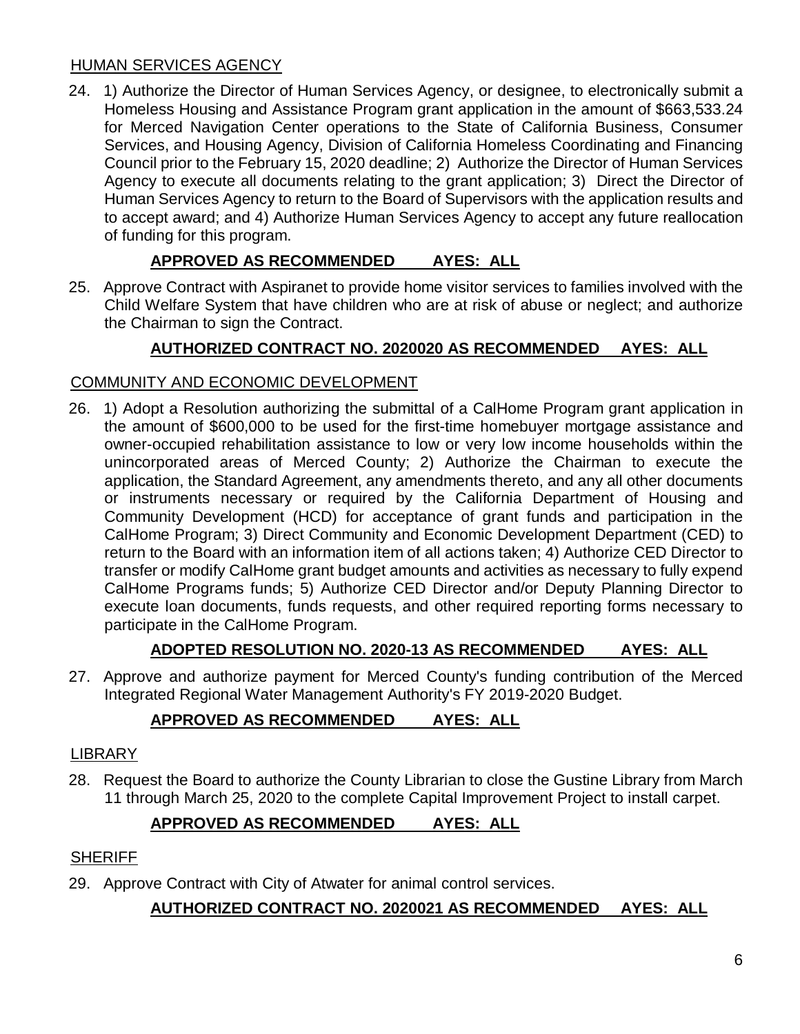## HUMAN SERVICES AGENCY

24. 1) Authorize the Director of Human Services Agency, or designee, to electronically submit a Homeless Housing and Assistance Program grant application in the amount of \$663,533.24 for Merced Navigation Center operations to the State of California Business, Consumer Services, and Housing Agency, Division of California Homeless Coordinating and Financing Council prior to the February 15, 2020 deadline; 2) Authorize the Director of Human Services Agency to execute all documents relating to the grant application; 3) Direct the Director of Human Services Agency to return to the Board of Supervisors with the application results and to accept award; and 4) Authorize Human Services Agency to accept any future reallocation of funding for this program.

# **APPROVED AS RECOMMENDED AYES: ALL**

25. Approve Contract with Aspiranet to provide home visitor services to families involved with the Child Welfare System that have children who are at risk of abuse or neglect; and authorize the Chairman to sign the Contract.

# **AUTHORIZED CONTRACT NO. 2020020 AS RECOMMENDED AYES: ALL**

# COMMUNITY AND ECONOMIC DEVELOPMENT

26. 1) Adopt a Resolution authorizing the submittal of a CalHome Program grant application in the amount of \$600,000 to be used for the first-time homebuyer mortgage assistance and owner-occupied rehabilitation assistance to low or very low income households within the unincorporated areas of Merced County; 2) Authorize the Chairman to execute the application, the Standard Agreement, any amendments thereto, and any all other documents or instruments necessary or required by the California Department of Housing and Community Development (HCD) for acceptance of grant funds and participation in the CalHome Program; 3) Direct Community and Economic Development Department (CED) to return to the Board with an information item of all actions taken; 4) Authorize CED Director to transfer or modify CalHome grant budget amounts and activities as necessary to fully expend CalHome Programs funds; 5) Authorize CED Director and/or Deputy Planning Director to execute loan documents, funds requests, and other required reporting forms necessary to participate in the CalHome Program.

# **ADOPTED RESOLUTION NO. 2020-13 AS RECOMMENDED AYES: ALL**

27. Approve and authorize payment for Merced County's funding contribution of the Merced Integrated Regional Water Management Authority's FY 2019-2020 Budget.

# **APPROVED AS RECOMMENDED AYES: ALL**

## LIBRARY

28. Request the Board to authorize the County Librarian to close the Gustine Library from March 11 through March 25, 2020 to the complete Capital Improvement Project to install carpet.

# **APPROVED AS RECOMMENDED AYES: ALL**

## **SHERIFF**

29. Approve Contract with City of Atwater for animal control services.

# **AUTHORIZED CONTRACT NO. 2020021 AS RECOMMENDED AYES: ALL**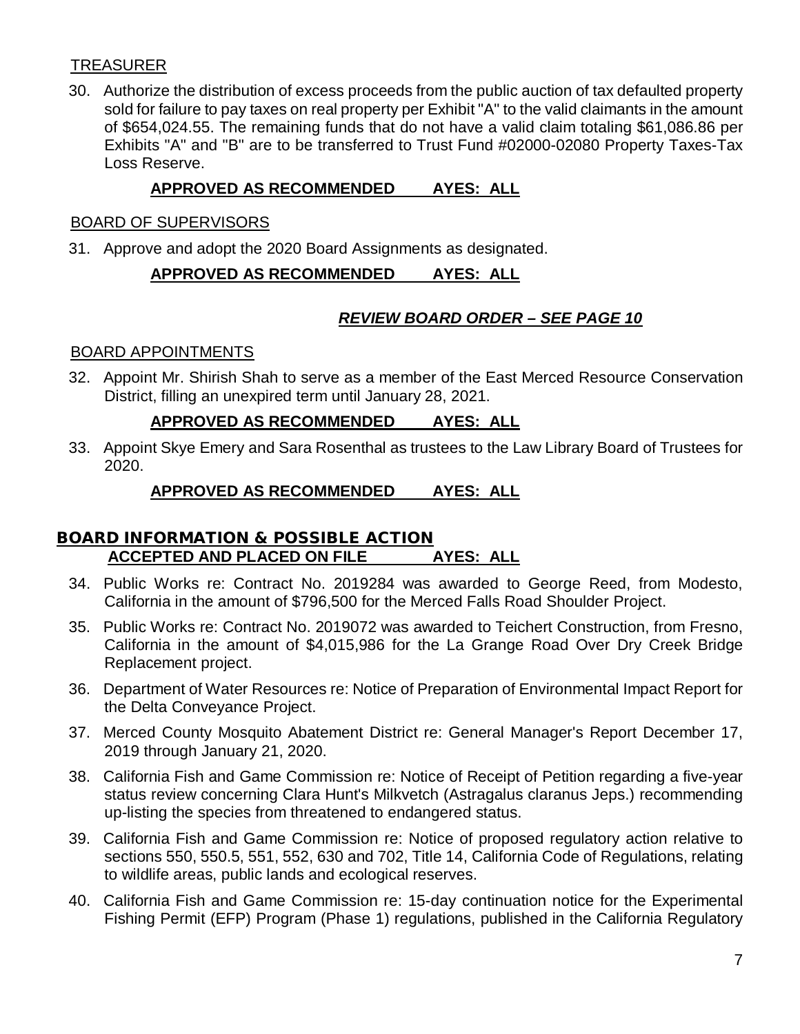# TREASURER

30. Authorize the distribution of excess proceeds from the public auction of tax defaulted property sold for failure to pay taxes on real property per Exhibit "A" to the valid claimants in the amount of \$654,024.55. The remaining funds that do not have a valid claim totaling \$61,086.86 per Exhibits "A" and "B" are to be transferred to Trust Fund #02000-02080 Property Taxes-Tax Loss Reserve.

# **APPROVED AS RECOMMENDED AYES: ALL**

## BOARD OF SUPERVISORS

31. Approve and adopt the 2020 Board Assignments as designated.

# **APPROVED AS RECOMMENDED AYES: ALL**

# *REVIEW BOARD ORDER – SEE PAGE 10*

## BOARD APPOINTMENTS

32. Appoint Mr. Shirish Shah to serve as a member of the East Merced Resource Conservation District, filling an unexpired term until January 28, 2021.

## **APPROVED AS RECOMMENDED AYES: ALL**

33. Appoint Skye Emery and Sara Rosenthal as trustees to the Law Library Board of Trustees for 2020.

# **APPROVED AS RECOMMENDED AYES: ALL**

# BOARD INFORMATION & POSSIBLE ACTION **ACCEPTED AND PLACED ON FILE AYES: ALL**

- 34. Public Works re: Contract No. 2019284 was awarded to George Reed, from Modesto, California in the amount of \$796,500 for the Merced Falls Road Shoulder Project.
- 35. Public Works re: Contract No. 2019072 was awarded to Teichert Construction, from Fresno, California in the amount of \$4,015,986 for the La Grange Road Over Dry Creek Bridge Replacement project.
- 36. Department of Water Resources re: Notice of Preparation of Environmental Impact Report for the Delta Conveyance Project.
- 37. Merced County Mosquito Abatement District re: General Manager's Report December 17, 2019 through January 21, 2020.
- 38. California Fish and Game Commission re: Notice of Receipt of Petition regarding a five-year status review concerning Clara Hunt's Milkvetch (Astragalus claranus Jeps.) recommending up-listing the species from threatened to endangered status.
- 39. California Fish and Game Commission re: Notice of proposed regulatory action relative to sections 550, 550.5, 551, 552, 630 and 702, Title 14, California Code of Regulations, relating to wildlife areas, public lands and ecological reserves.
- 40. California Fish and Game Commission re: 15-day continuation notice for the Experimental Fishing Permit (EFP) Program (Phase 1) regulations, published in the California Regulatory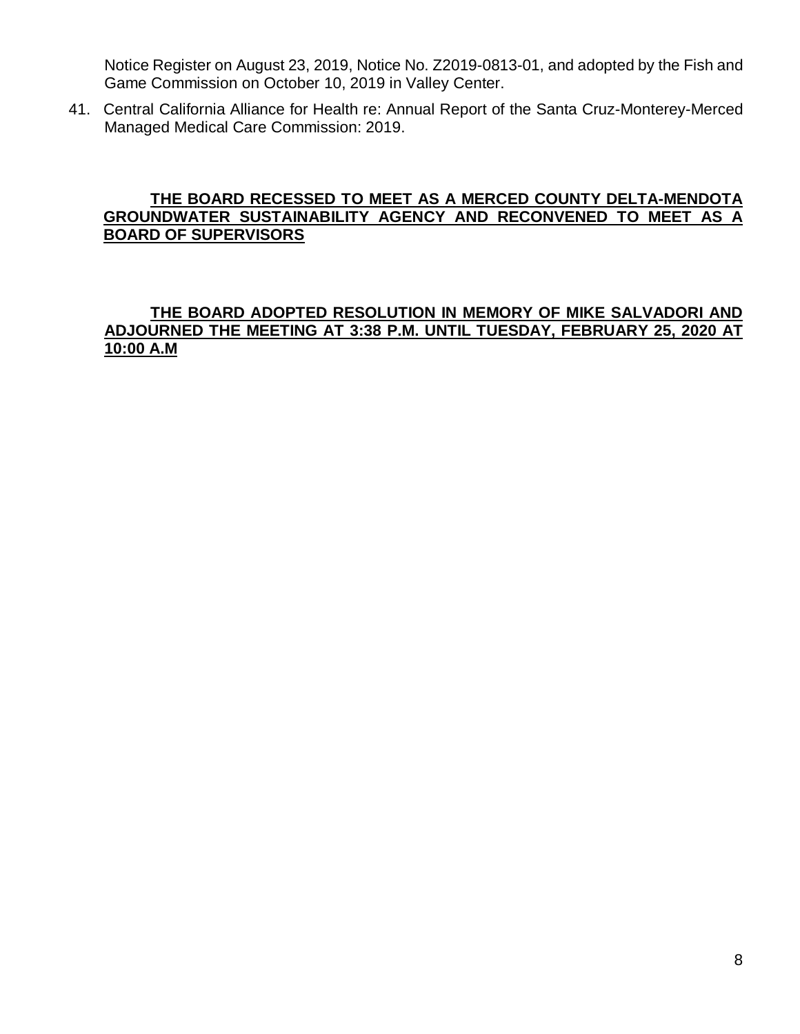Notice Register on August 23, 2019, Notice No. Z2019-0813-01, and adopted by the Fish and Game Commission on October 10, 2019 in Valley Center.

41. Central California Alliance for Health re: Annual Report of the Santa Cruz-Monterey-Merced Managed Medical Care Commission: 2019.

## **THE BOARD RECESSED TO MEET AS A MERCED COUNTY DELTA-MENDOTA GROUNDWATER SUSTAINABILITY AGENCY AND RECONVENED TO MEET AS A BOARD OF SUPERVISORS**

# **THE BOARD ADOPTED RESOLUTION IN MEMORY OF MIKE SALVADORI AND ADJOURNED THE MEETING AT 3:38 P.M. UNTIL TUESDAY, FEBRUARY 25, 2020 AT 10:00 A.M**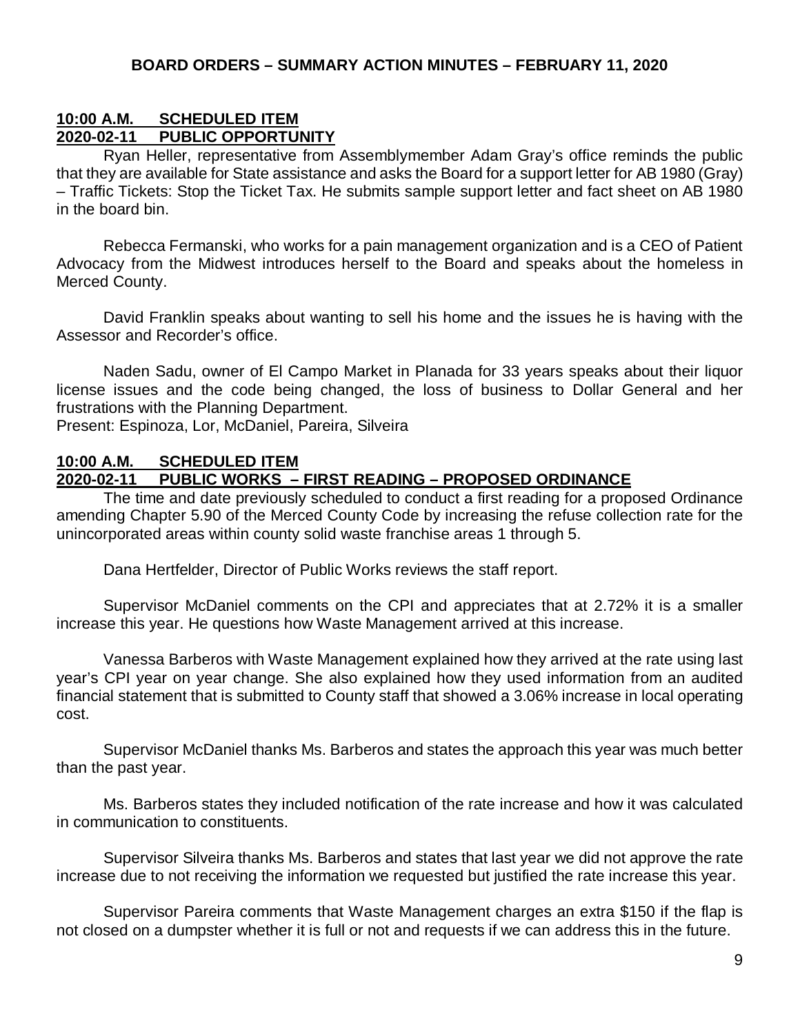## **10:00 A.M. SCHEDULED ITEM 2020-02-11 PUBLIC OPPORTUNITY**

Ryan Heller, representative from Assemblymember Adam Gray's office reminds the public that they are available for State assistance and asks the Board for a support letter for AB 1980 (Gray) – Traffic Tickets: Stop the Ticket Tax. He submits sample support letter and fact sheet on AB 1980 in the board bin.

Rebecca Fermanski, who works for a pain management organization and is a CEO of Patient Advocacy from the Midwest introduces herself to the Board and speaks about the homeless in Merced County.

David Franklin speaks about wanting to sell his home and the issues he is having with the Assessor and Recorder's office.

Naden Sadu, owner of El Campo Market in Planada for 33 years speaks about their liquor license issues and the code being changed, the loss of business to Dollar General and her frustrations with the Planning Department.

Present: Espinoza, Lor, McDaniel, Pareira, Silveira

## **10:00 A.M. SCHEDULED ITEM**

## **2020-02-11 PUBLIC WORKS – FIRST READING – PROPOSED ORDINANCE**

The time and date previously scheduled to conduct a first reading for a proposed Ordinance amending Chapter 5.90 of the Merced County Code by increasing the refuse collection rate for the unincorporated areas within county solid waste franchise areas 1 through 5.

Dana Hertfelder, Director of Public Works reviews the staff report.

Supervisor McDaniel comments on the CPI and appreciates that at 2.72% it is a smaller increase this year. He questions how Waste Management arrived at this increase.

Vanessa Barberos with Waste Management explained how they arrived at the rate using last year's CPI year on year change. She also explained how they used information from an audited financial statement that is submitted to County staff that showed a 3.06% increase in local operating cost.

Supervisor McDaniel thanks Ms. Barberos and states the approach this year was much better than the past year.

Ms. Barberos states they included notification of the rate increase and how it was calculated in communication to constituents.

Supervisor Silveira thanks Ms. Barberos and states that last year we did not approve the rate increase due to not receiving the information we requested but justified the rate increase this year.

Supervisor Pareira comments that Waste Management charges an extra \$150 if the flap is not closed on a dumpster whether it is full or not and requests if we can address this in the future.